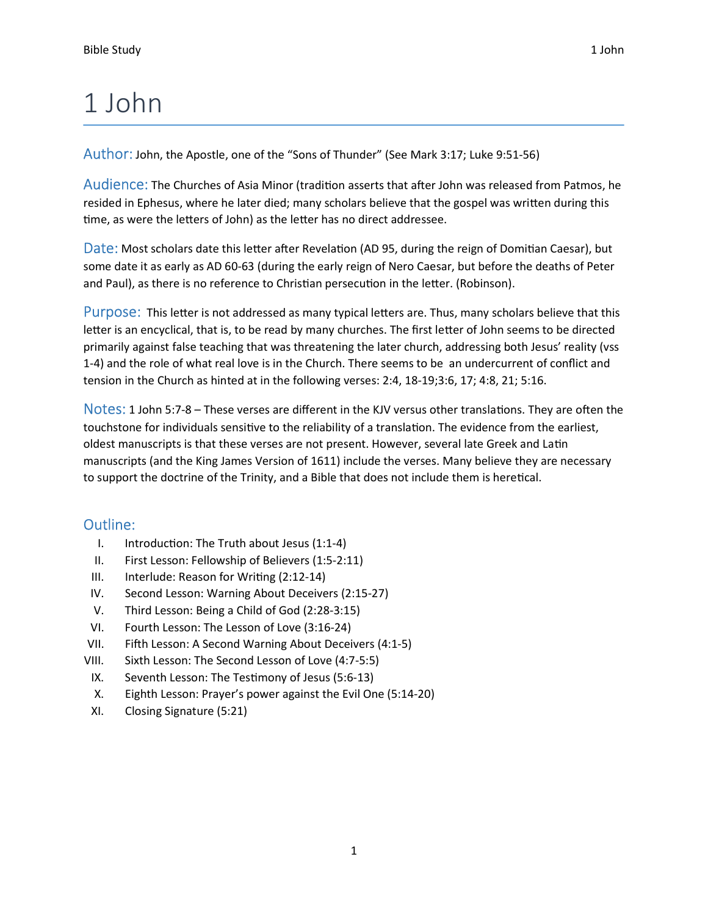## 1 John

Author: John, the Apostle, one of the "Sons of Thunder" (See Mark 3:17; Luke 9:51-56)

Audience: The Churches of Asia Minor (tradition asserts that after John was released from Patmos, he resided in Ephesus, where he later died; many scholars believe that the gospel was written during this time, as were the letters of John) as the letter has no direct addressee.

Date: Most scholars date this letter after Revelation (AD 95, during the reign of Domitian Caesar), but some date it as early as AD 60-63 (during the early reign of Nero Caesar, but before the deaths of Peter and Paul), as there is no reference to Christian persecution in the letter. (Robinson).

Purpose: This letter is not addressed as many typical letters are. Thus, many scholars believe that this letter is an encyclical, that is, to be read by many churches. The first letter of John seems to be directed primarily against false teaching that was threatening the later church, addressing both Jesus' reality (vss 1-4) and the role of what real love is in the Church. There seems to be an undercurrent of conflict and tension in the Church as hinted at in the following verses: 2:4, 18-19;3:6, 17; 4:8, 21; 5:16.

Notes: 1 John 5:7-8 – These verses are different in the KJV versus other translations. They are often the touchstone for individuals sensitive to the reliability of a translation. The evidence from the earliest, oldest manuscripts is that these verses are not present. However, several late Greek and Latin manuscripts (and the King James Version of 1611) include the verses. Many believe they are necessary to support the doctrine of the Trinity, and a Bible that does not include them is heretical.

## Outline:

- I. Introduction: The Truth about Jesus (1:1-4)
- II. First Lesson: Fellowship of Believers (1:5-2:11)
- III. Interlude: Reason for Writing (2:12-14)
- IV. Second Lesson: Warning About Deceivers (2:15-27)
- V. Third Lesson: Being a Child of God (2:28-3:15)
- VI. Fourth Lesson: The Lesson of Love (3:16-24)
- VII. Fifth Lesson: A Second Warning About Deceivers (4:1-5)
- VIII. Sixth Lesson: The Second Lesson of Love (4:7-5:5)
- IX. Seventh Lesson: The Testimony of Jesus (5:6-13)
- X. Eighth Lesson: Prayer's power against the Evil One (5:14-20)
- XI. Closing Signature (5:21)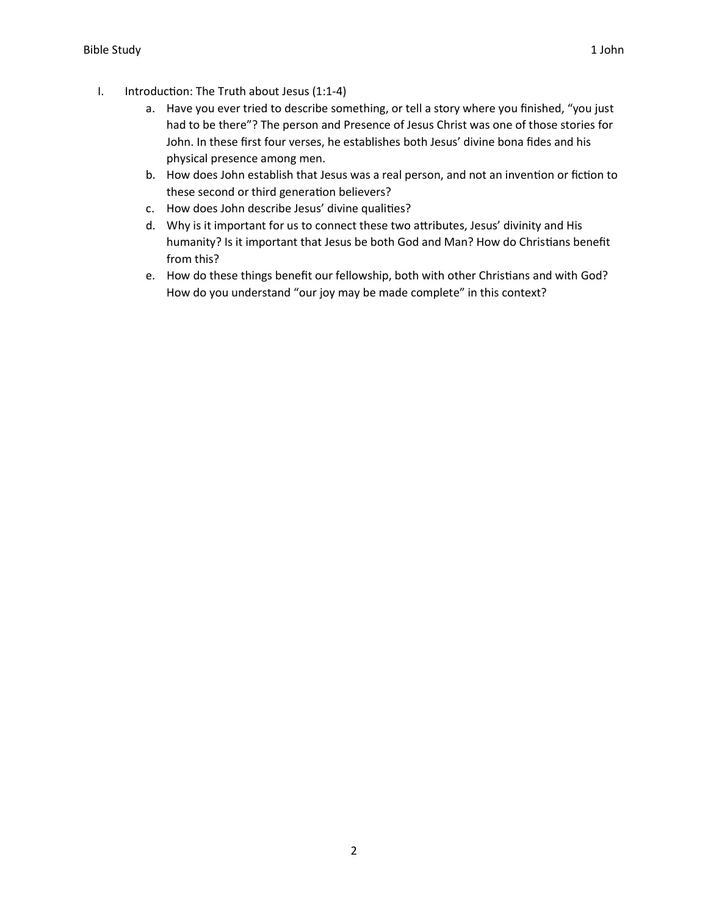- I. Introduction: The Truth about Jesus (1:1-4)
	- a. Have you ever tried to describe something, or tell a story where you finished, "you just had to be there"? The person and Presence of Jesus Christ was one of those stories for John. In these first four verses, he establishes both Jesus' divine bona fides and his physical presence among men.
	- b. How does John establish that Jesus was a real person, and not an invention or fiction to these second or third generation believers?
	- c. How does John describe Jesus' divine qualities?
	- d. Why is it important for us to connect these two attributes, Jesus' divinity and His humanity? Is it important that Jesus be both God and Man? How do Christians benefit from this?
	- e. How do these things benefit our fellowship, both with other Christians and with God? How do you understand "our joy may be made complete" in this context?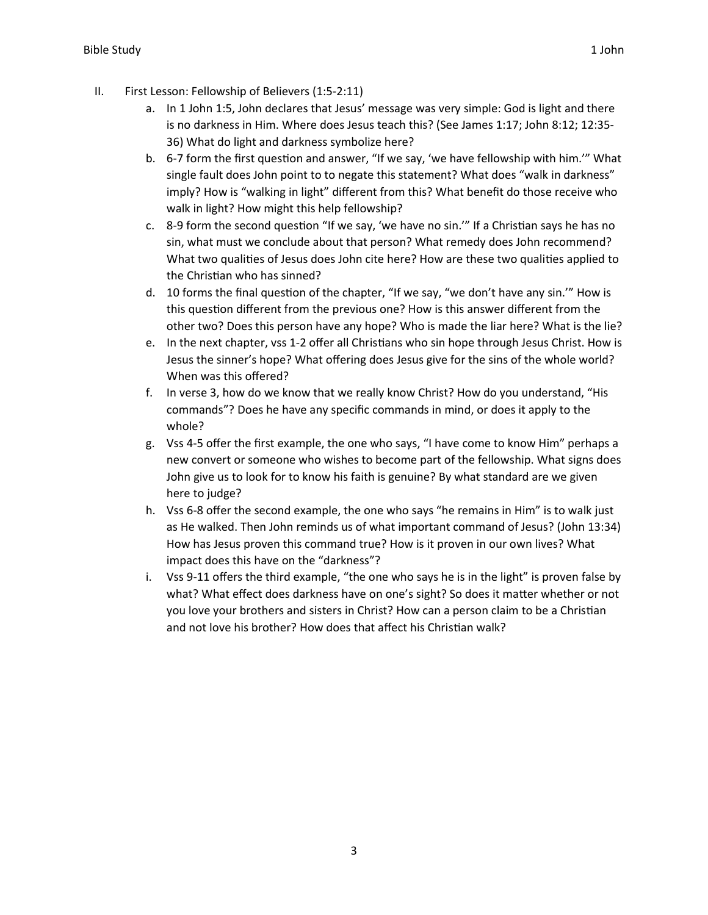- II. First Lesson: Fellowship of Believers (1:5-2:11)
	- a. In 1 John 1:5, John declares that Jesus' message was very simple: God is light and there is no darkness in Him. Where does Jesus teach this? (See James 1:17; John 8:12; 12:35- 36) What do light and darkness symbolize here?
	- b. 6-7 form the first question and answer, "If we say, 'we have fellowship with him.'" What single fault does John point to to negate this statement? What does "walk in darkness" imply? How is "walking in light" different from this? What benefit do those receive who walk in light? How might this help fellowship?
	- c. 8-9 form the second question "If we say, 'we have no sin.'" If a Christian says he has no sin, what must we conclude about that person? What remedy does John recommend? What two qualities of Jesus does John cite here? How are these two qualities applied to the Christian who has sinned?
	- d. 10 forms the final question of the chapter, "If we say, "we don't have any sin."" How is this question different from the previous one? How is this answer different from the other two? Does this person have any hope? Who is made the liar here? What is the lie?
	- e. In the next chapter, vss 1-2 offer all Christians who sin hope through Jesus Christ. How is Jesus the sinner's hope? What offering does Jesus give for the sins of the whole world? When was this offered?
	- f. In verse 3, how do we know that we really know Christ? How do you understand, "His commands"? Does he have any specific commands in mind, or does it apply to the whole?
	- g. Vss 4-5 offer the first example, the one who says, "I have come to know Him" perhaps a new convert or someone who wishes to become part of the fellowship. What signs does John give us to look for to know his faith is genuine? By what standard are we given here to judge?
	- h. Vss 6-8 offer the second example, the one who says "he remains in Him" is to walk just as He walked. Then John reminds us of what important command of Jesus? (John 13:34) How has Jesus proven this command true? How is it proven in our own lives? What impact does this have on the "darkness"?
	- i. Vss 9-11 offers the third example, "the one who says he is in the light" is proven false by what? What effect does darkness have on one's sight? So does it matter whether or not you love your brothers and sisters in Christ? How can a person claim to be a Christian and not love his brother? How does that affect his Christian walk?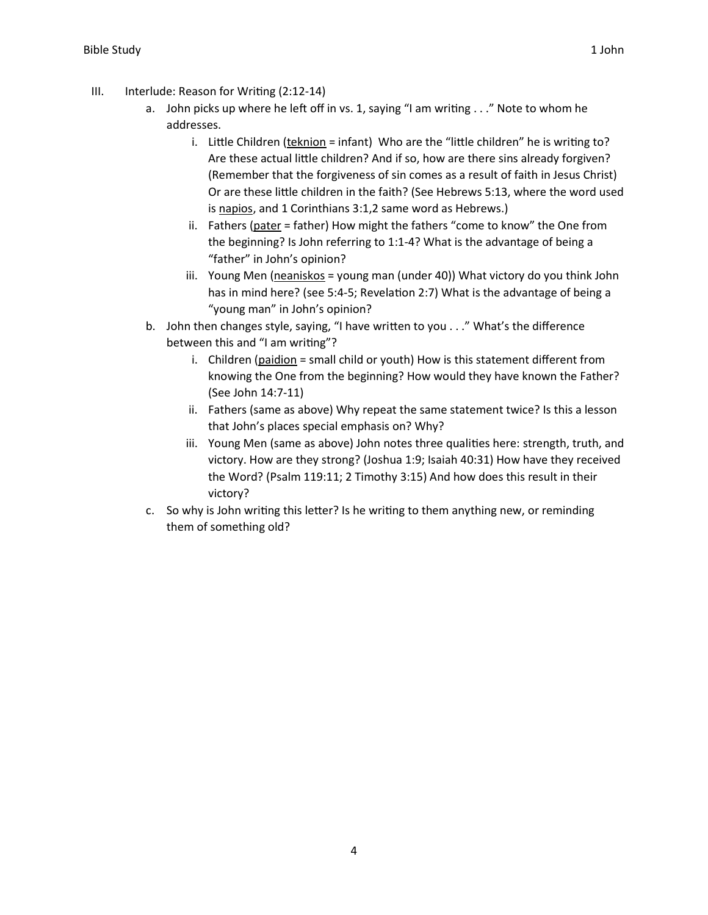- a. John picks up where he left off in vs. 1, saying "I am writing . . ." Note to whom he addresses.
	- i. Little Children (teknion = infant) Who are the "little children" he is writing to? Are these actual little children? And if so, how are there sins already forgiven? (Remember that the forgiveness of sin comes as a result of faith in Jesus Christ) Or are these little children in the faith? (See Hebrews 5:13, where the word used is napios, and 1 Corinthians 3:1,2 same word as Hebrews.)
	- ii. Fathers (pater = father) How might the fathers "come to know" the One from the beginning? Is John referring to 1:1-4? What is the advantage of being a "father" in John's opinion?
	- iii. Young Men (neaniskos = young man (under 40)) What victory do you think John has in mind here? (see 5:4-5; Revelation 2:7) What is the advantage of being a "young man" in John's opinion?
- b. John then changes style, saying, "I have written to you  $\dots$ " What's the difference between this and "I am writing"?
	- i. Children (paidion = small child or youth) How is this statement different from knowing the One from the beginning? How would they have known the Father? (See John 14:7-11)
	- ii. Fathers (same as above) Why repeat the same statement twice? Is this a lesson that John's places special emphasis on? Why?
	- iii. Young Men (same as above) John notes three qualities here: strength, truth, and victory. How are they strong? (Joshua 1:9; Isaiah 40:31) How have they received the Word? (Psalm 119:11; 2 Timothy 3:15) And how does this result in their victory?
- c. So why is John writing this letter? Is he writing to them anything new, or reminding them of something old?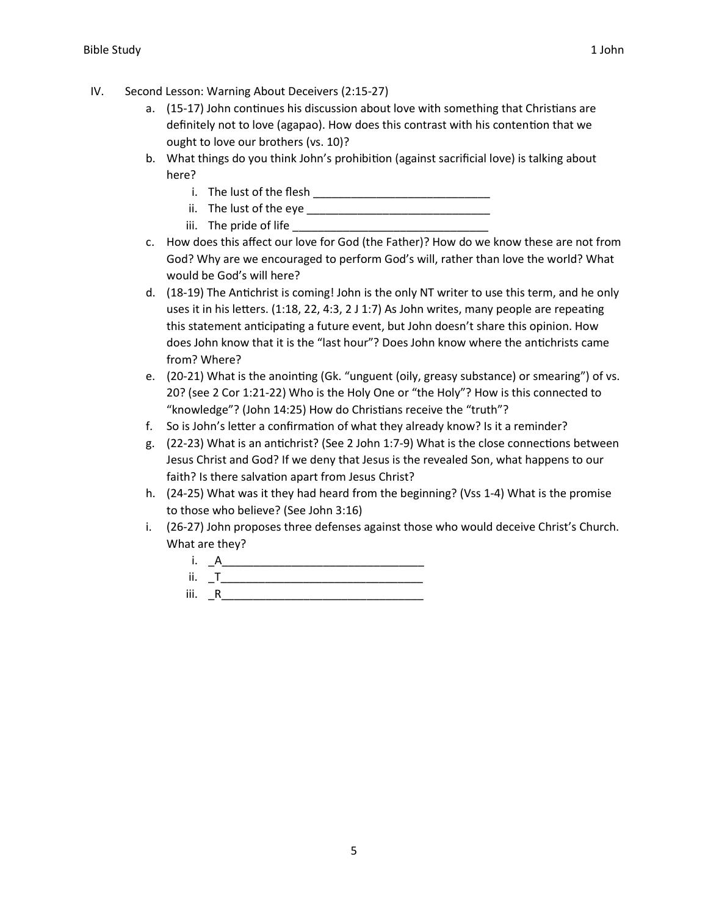- a. (15-17) John continues his discussion about love with something that Christians are definitely not to love (agapao). How does this contrast with his contention that we ought to love our brothers (vs. 10)?
- b. What things do you think John's prohibition (against sacrificial love) is talking about here?
	- i. The lust of the flesh  $\Box$
	- ii. The lust of the eye \_\_\_\_\_\_\_\_\_\_\_\_\_\_\_\_\_\_\_\_\_\_\_\_\_\_\_\_\_
	- iii. The pride of life \_\_\_\_\_\_\_\_\_\_\_\_\_\_\_\_\_\_\_\_\_\_\_\_\_\_\_\_\_\_\_
- c. How does this affect our love for God (the Father)? How do we know these are not from God? Why are we encouraged to perform God's will, rather than love the world? What would be God's will here?
- d. (18-19) The Antichrist is coming! John is the only NT writer to use this term, and he only uses it in his letters. (1:18, 22, 4:3, 2 J 1:7) As John writes, many people are repeating this statement anticipating a future event, but John doesn't share this opinion. How does John know that it is the "last hour"? Does John know where the antichrists came from? Where?
- e. (20-21) What is the anointing (Gk. "unguent (oily, greasy substance) or smearing") of vs. 20? (see 2 Cor 1:21-22) Who is the Holy One or "the Holy"? How is this connected to "knowledge"? (John 14:25) How do Christians receive the "truth"?
- f. So is John's letter a confirmation of what they already know? Is it a reminder?
- g. (22-23) What is an antichrist? (See 2 John 1:7-9) What is the close connections between Jesus Christ and God? If we deny that Jesus is the revealed Son, what happens to our faith? Is there salvation apart from Jesus Christ?
- h. (24-25) What was it they had heard from the beginning? (Vss 1-4) What is the promise to those who believe? (See John 3:16)
- i. (26-27) John proposes three defenses against those who would deceive Christ's Church. What are they?

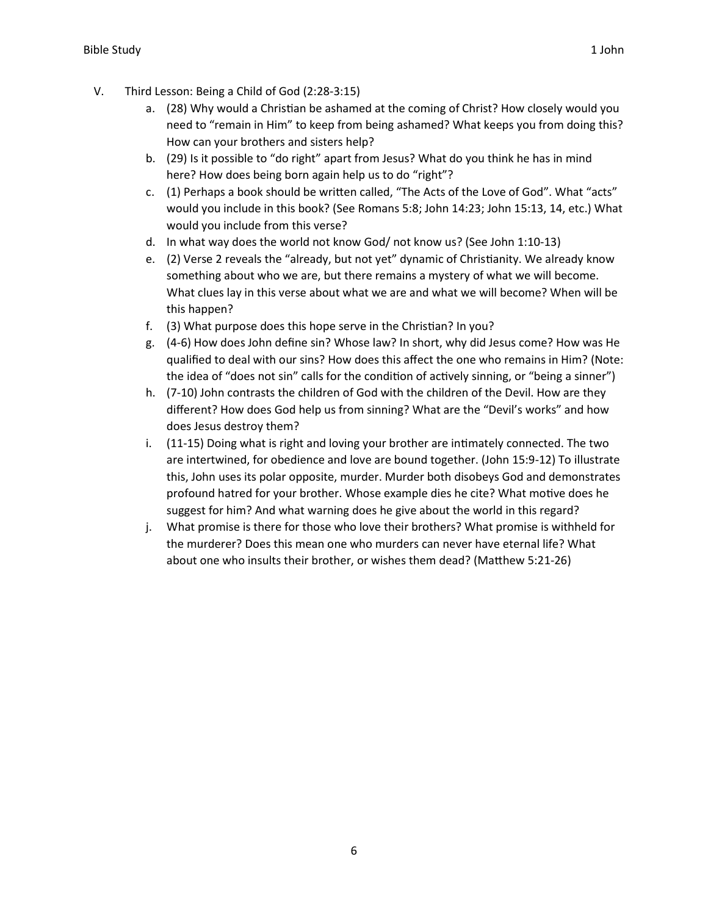- V. Third Lesson: Being a Child of God (2:28-3:15)
	- a. (28) Why would a Christian be ashamed at the coming of Christ? How closely would you need to "remain in Him" to keep from being ashamed? What keeps you from doing this? How can your brothers and sisters help?
	- b. (29) Is it possible to "do right" apart from Jesus? What do you think he has in mind here? How does being born again help us to do "right"?
	- c. (1) Perhaps a book should be written called, "The Acts of the Love of God". What "acts" would you include in this book? (See Romans 5:8; John 14:23; John 15:13, 14, etc.) What would you include from this verse?
	- d. In what way does the world not know God/ not know us? (See John 1:10-13)
	- e. (2) Verse 2 reveals the "already, but not yet" dynamic of Christianity. We already know something about who we are, but there remains a mystery of what we will become. What clues lay in this verse about what we are and what we will become? When will be this happen?
	- f.  $(3)$  What purpose does this hope serve in the Christian? In you?
	- g. (4-6) How does John define sin? Whose law? In short, why did Jesus come? How was He qualified to deal with our sins? How does this affect the one who remains in Him? (Note: the idea of "does not sin" calls for the condition of actively sinning, or "being a sinner")
	- h. (7-10) John contrasts the children of God with the children of the Devil. How are they different? How does God help us from sinning? What are the "Devil's works" and how does Jesus destroy them?
	- i. (11-15) Doing what is right and loving your brother are intimately connected. The two are intertwined, for obedience and love are bound together. (John 15:9-12) To illustrate this, John uses its polar opposite, murder. Murder both disobeys God and demonstrates profound hatred for your brother. Whose example dies he cite? What motive does he suggest for him? And what warning does he give about the world in this regard?
	- j. What promise is there for those who love their brothers? What promise is withheld for the murderer? Does this mean one who murders can never have eternal life? What about one who insults their brother, or wishes them dead? (Matthew 5:21-26)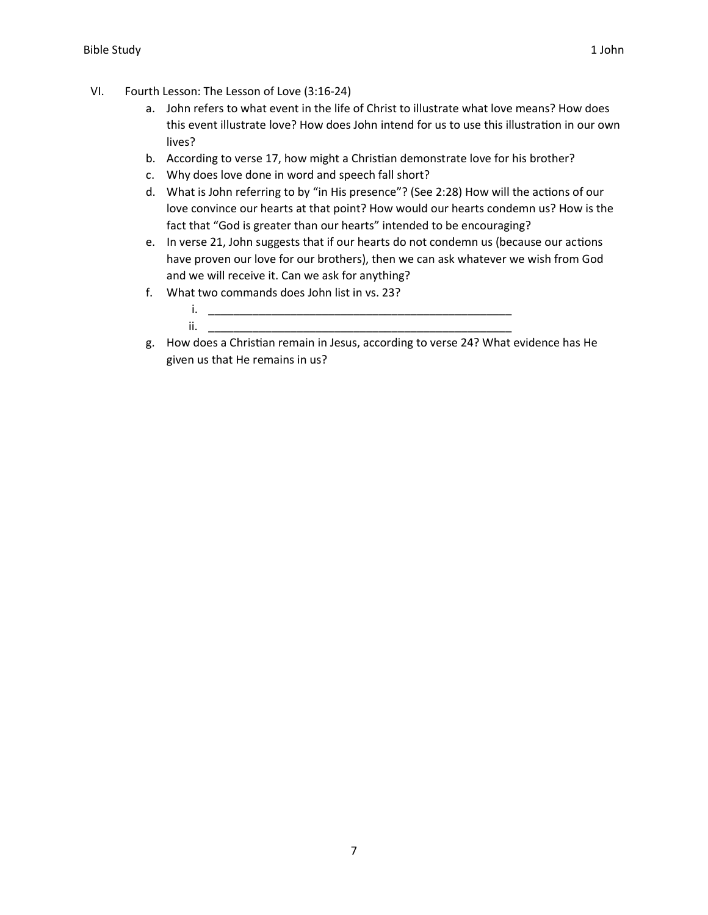- VI. Fourth Lesson: The Lesson of Love (3:16-24)
	- a. John refers to what event in the life of Christ to illustrate what love means? How does this event illustrate love? How does John intend for us to use this illustration in our own lives?
	- b. According to verse 17, how might a Christian demonstrate love for his brother?
	- c. Why does love done in word and speech fall short?
	- d. What is John referring to by "in His presence"? (See 2:28) How will the actions of our love convince our hearts at that point? How would our hearts condemn us? How is the fact that "God is greater than our hearts" intended to be encouraging?
	- e. In verse 21, John suggests that if our hearts do not condemn us (because our actions have proven our love for our brothers), then we can ask whatever we wish from God and we will receive it. Can we ask for anything?
	- f. What two commands does John list in vs. 23?
		- i. \_\_\_\_\_\_\_\_\_\_\_\_\_\_\_\_\_\_\_\_\_\_\_\_\_\_\_\_\_\_\_\_\_\_\_\_\_\_\_\_\_\_\_\_\_\_\_\_  $ii.$
	- g. How does a Christian remain in Jesus, according to verse 24? What evidence has He given us that He remains in us?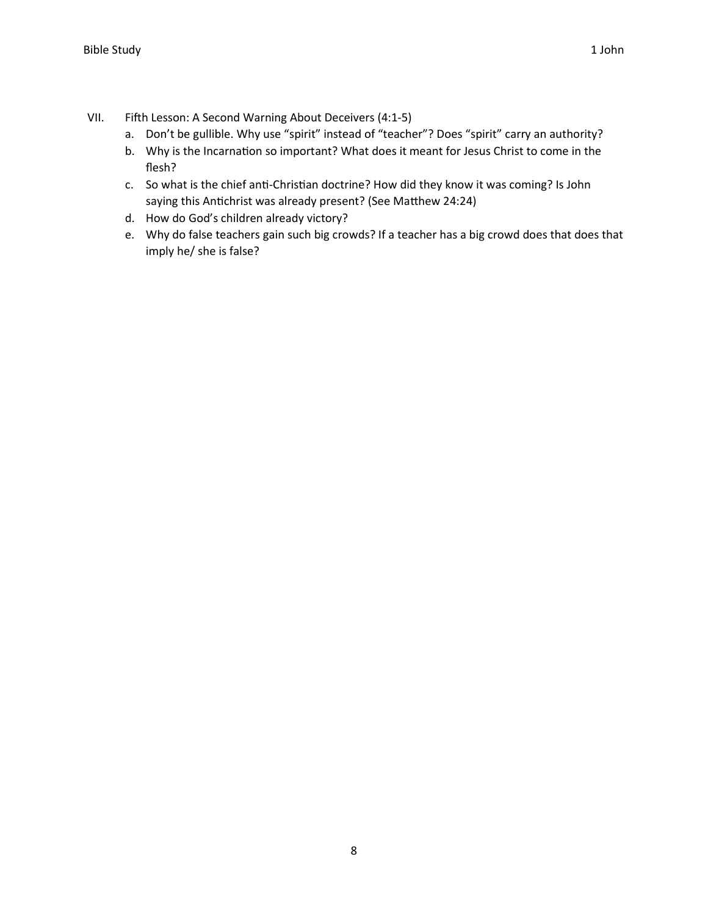- VII. Fifth Lesson: A Second Warning About Deceivers (4:1-5)
	- a. Don't be gullible. Why use "spirit" instead of "teacher"? Does "spirit" carry an authority?
	- b. Why is the Incarnation so important? What does it meant for Jesus Christ to come in the flesh?
	- c. So what is the chief anti-Christian doctrine? How did they know it was coming? Is John saying this Antichrist was already present? (See Matthew 24:24)
	- d. How do God's children already victory?
	- e. Why do false teachers gain such big crowds? If a teacher has a big crowd does that does that imply he/ she is false?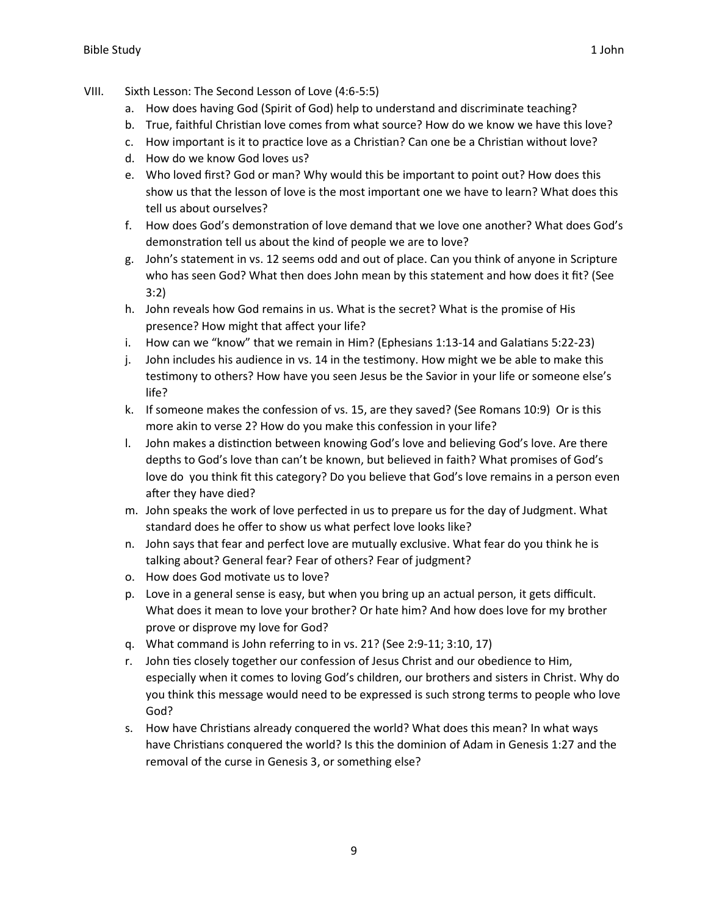- VIII. Sixth Lesson: The Second Lesson of Love (4:6-5:5)
	- a. How does having God (Spirit of God) help to understand and discriminate teaching?
	- b. True, faithful Christian love comes from what source? How do we know we have this love?
	- c. How important is it to practice love as a Christian? Can one be a Christian without love?
	- d. How do we know God loves us?
	- e. Who loved first? God or man? Why would this be important to point out? How does this show us that the lesson of love is the most important one we have to learn? What does this tell us about ourselves?
	- f. How does God's demonstration of love demand that we love one another? What does God's demonstration tell us about the kind of people we are to love?
	- g. John's statement in vs. 12 seems odd and out of place. Can you think of anyone in Scripture who has seen God? What then does John mean by this statement and how does it fit? (See 3:2)
	- h. John reveals how God remains in us. What is the secret? What is the promise of His presence? How might that affect your life?
	- i. How can we "know" that we remain in Him? (Ephesians 1:13-14 and Galatians 5:22-23)
	- j. John includes his audience in vs. 14 in the testimony. How might we be able to make this testimony to others? How have you seen Jesus be the Savior in your life or someone else's life?
	- k. If someone makes the confession of vs. 15, are they saved? (See Romans 10:9) Or is this more akin to verse 2? How do you make this confession in your life?
	- l. John makes a distinction between knowing God's love and believing God's love. Are there depths to God's love than can't be known, but believed in faith? What promises of God's love do you think fit this category? Do you believe that God's love remains in a person even after they have died?
	- m. John speaks the work of love perfected in us to prepare us for the day of Judgment. What standard does he offer to show us what perfect love looks like?
	- n. John says that fear and perfect love are mutually exclusive. What fear do you think he is talking about? General fear? Fear of others? Fear of judgment?
	- o. How does God motivate us to love?
	- p. Love in a general sense is easy, but when you bring up an actual person, it gets difficult. What does it mean to love your brother? Or hate him? And how does love for my brother prove or disprove my love for God?
	- q. What command is John referring to in vs. 21? (See 2:9-11; 3:10, 17)
	- r. John ties closely together our confession of Jesus Christ and our obedience to Him, especially when it comes to loving God's children, our brothers and sisters in Christ. Why do you think this message would need to be expressed is such strong terms to people who love God?
	- s. How have Christians already conquered the world? What does this mean? In what ways have Christians conquered the world? Is this the dominion of Adam in Genesis 1:27 and the removal of the curse in Genesis 3, or something else?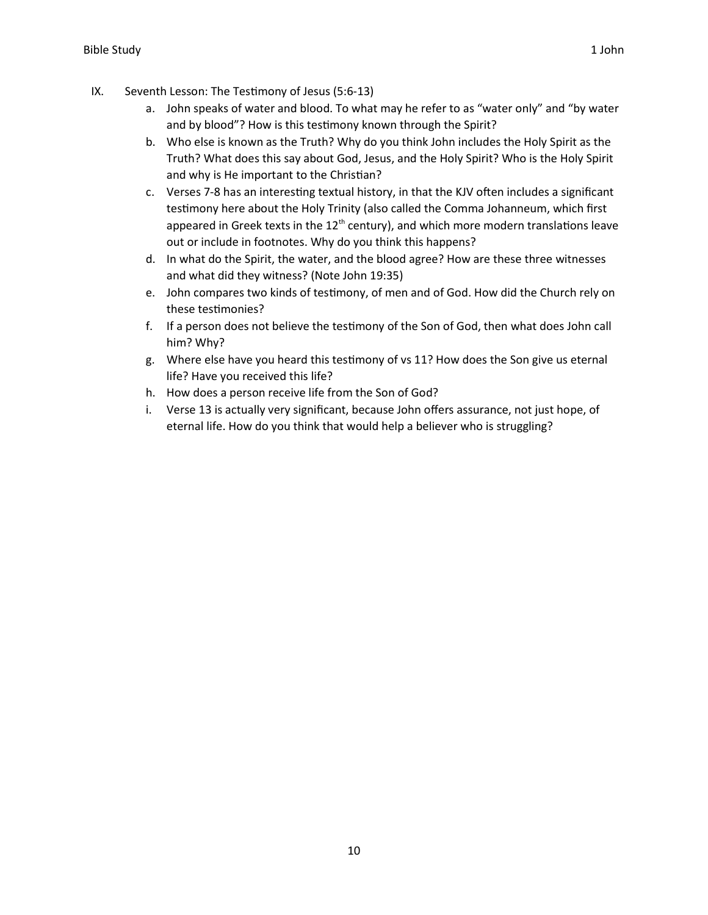- IX. Seventh Lesson: The Testimony of Jesus (5:6-13)
	- a. John speaks of water and blood. To what may he refer to as "water only" and "by water and by blood"? How is this testimony known through the Spirit?
	- b. Who else is known as the Truth? Why do you think John includes the Holy Spirit as the Truth? What does this say about God, Jesus, and the Holy Spirit? Who is the Holy Spirit and why is He important to the Christian?
	- c. Verses 7-8 has an interesting textual history, in that the KJV often includes a significant testimony here about the Holy Trinity (also called the Comma Johanneum, which first appeared in Greek texts in the  $12<sup>th</sup>$  century), and which more modern translations leave out or include in footnotes. Why do you think this happens?
	- d. In what do the Spirit, the water, and the blood agree? How are these three witnesses and what did they witness? (Note John 19:35)
	- e. John compares two kinds of testimony, of men and of God. How did the Church rely on these testimonies?
	- f. If a person does not believe the testimony of the Son of God, then what does John call him? Why?
	- g. Where else have you heard this testimony of vs 11? How does the Son give us eternal life? Have you received this life?
	- h. How does a person receive life from the Son of God?
	- i. Verse 13 is actually very significant, because John offers assurance, not just hope, of eternal life. How do you think that would help a believer who is struggling?